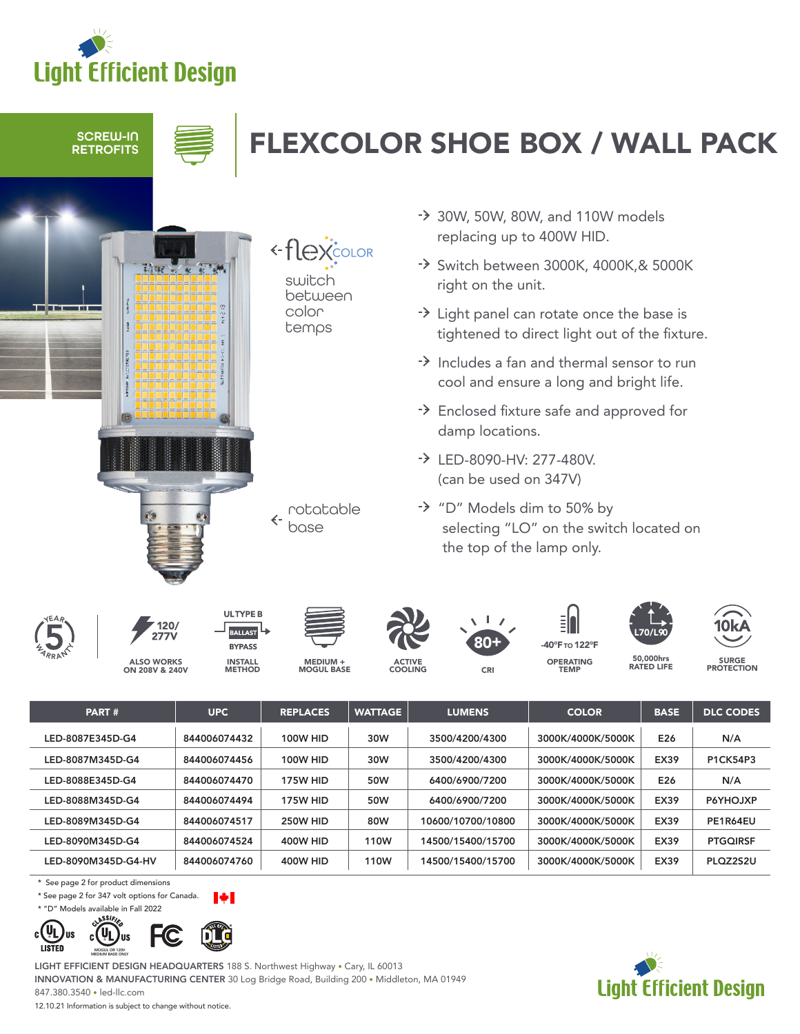



- $\rightarrow$  Includes a fan and thermal sensor to run cool and ensure a long and bright life.
- Enclosed fixture safe and approved for damp locations.
- LED-8090-HV: 277-480V. (can be used on 347V)
- "D" Models dim to 50% by selecting "LO" on the switch located on the top of the lamp only.





ALSO WORKS ON 208V & 240V



**ULTYPE B** 

MEDIUM + MOGUL BASE

rotatable base

 $\leftarrow$ 



80+

OPERATING TEMP 40°F το 122°





50,000hrs

SURGE<br>PROTECTION

| PART#               | <b>UPC</b>   | <b>REPLACES</b> | <b>WATTAGE</b> | <b>LUMENS</b>     | <b>COLOR</b>      | <b>BASE</b> | <b>DLC CODES</b> |
|---------------------|--------------|-----------------|----------------|-------------------|-------------------|-------------|------------------|
| LED-8087E345D-G4    | 844006074432 | <b>100W HID</b> | 30W            | 3500/4200/4300    | 3000K/4000K/5000K | E26         | N/A              |
| LED-8087M345D-G4    | 844006074456 | <b>100W HID</b> | 30W            | 3500/4200/4300    | 3000K/4000K/5000K | <b>EX39</b> | <b>P1CK54P3</b>  |
| LED-8088E345D-G4    | 844006074470 | 175W HID        | 50W            | 6400/6900/7200    | 3000K/4000K/5000K | E26         | N/A              |
| LED-8088M345D-G4    | 844006074494 | <b>175W HID</b> | 50W            | 6400/6900/7200    | 3000K/4000K/5000K | <b>EX39</b> | P6YHOJXP         |
| LED-8089M345D-G4    | 844006074517 | 250W HID        | 80W            | 10600/10700/10800 | 3000K/4000K/5000K | <b>EX39</b> | PE1R64EU         |
| LED-8090M345D-G4    | 844006074524 | 400W HID        | 110W           | 14500/15400/15700 | 3000K/4000K/5000K | <b>EX39</b> | <b>PTGQIRSF</b>  |
| LED-8090M345D-G4-HV | 844006074760 | 400W HID        | 110W           | 14500/15400/15700 | 3000K/4000K/5000K | <b>EX39</b> | PLOZ2S2U         |

\* See page 2 for product dimensions

\* See page 2 for 347 volt options for Canada.

MEDIUM BASE ONLY

\* "D" Models available in Fall 2022





LIGHT EFFICIENT DESIGN HEADQUARTERS 188 S. Northwest Highway • Cary, IL 60013 INNOVATION & MANUFACTURING CENTER 30 Log Bridge Road, Building 200 • Middleton, MA 01949 847.380.3540 • led-llc.com

12.10.21 Information is subject to change without notice.